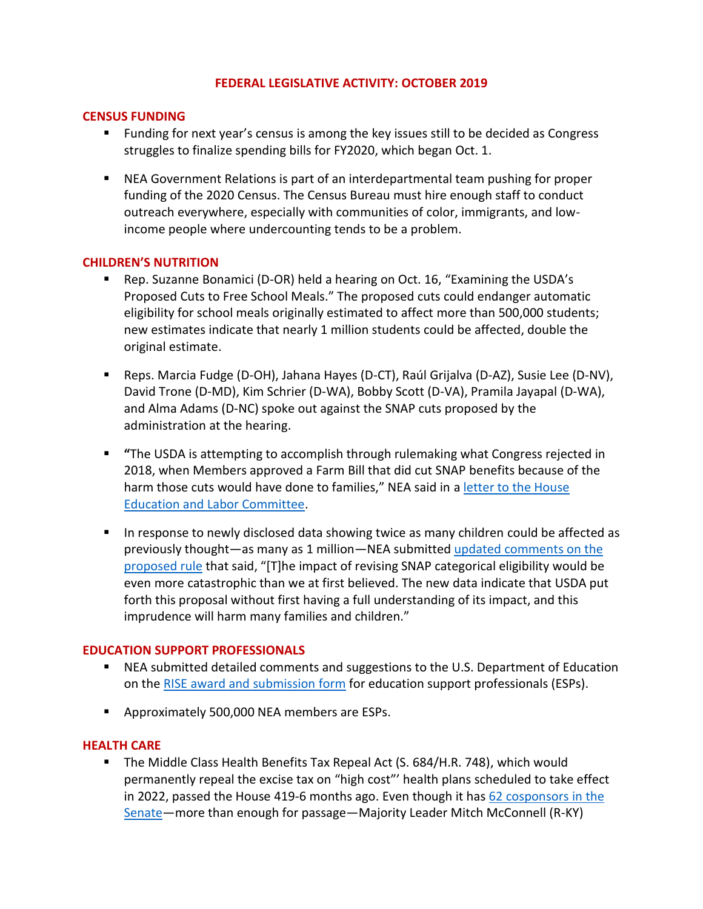#### **FEDERAL LEGISLATIVE ACTIVITY: OCTOBER 2019**

### **CENSUS FUNDING**

- Funding for next year's census is among the key issues still to be decided as Congress struggles to finalize spending bills for FY2020, which began Oct. 1.
- NEA Government Relations is part of an interdepartmental team pushing for proper funding of the 2020 Census. The Census Bureau must hire enough staff to conduct outreach everywhere, especially with communities of color, immigrants, and lowincome people where undercounting tends to be a problem.

### **CHILDREN'S NUTRITION**

- Rep. Suzanne Bonamici (D-OR) held a hearing on Oct. 16, "Examining the USDA's Proposed Cuts to Free School Meals." The proposed cuts could endanger automatic eligibility for school meals originally estimated to affect more than 500,000 students; new estimates indicate that nearly 1 million students could be affected, double the original estimate.
- Reps. Marcia Fudge (D-OH), Jahana Hayes (D-CT), Raúl Grijalva (D-AZ), Susie Lee (D-NV), David Trone (D-MD), Kim Schrier (D-WA), Bobby Scott (D-VA), Pramila Jayapal (D-WA), and Alma Adams (D-NC) spoke out against the SNAP cuts proposed by the administration at the hearing.
- **"**The USDA is attempting to accomplish through rulemaking what Congress rejected in 2018, when Members approved a Farm Bill that did cut SNAP benefits because of the harm those cuts would have done to families," NEA said in a letter to the House [Education and Labor Committee.](https://educationvotes.nea.org/wp-content/uploads/2019/10/House-Civil-Rights-Subcomm-Hrg-Cuts-to-School-Meals-10.11.19.pdf)
- **■** In response to newly disclosed data showing twice as many children could be affected as previously thought—as many as 1 million—NEA submitted [updated comments on the](https://educationvotes.nea.org/wp-content/uploads/2019/10/UPDATED-Comments-on-SNAP-Proposed-Rule-10.21.19.pdf)  [proposed rule](https://educationvotes.nea.org/wp-content/uploads/2019/10/UPDATED-Comments-on-SNAP-Proposed-Rule-10.21.19.pdf) that said, "[T]he impact of revising SNAP categorical eligibility would be even more catastrophic than we at first believed. The new data indicate that USDA put forth this proposal without first having a full understanding of its impact, and this imprudence will harm many families and children."

## **EDUCATION SUPPORT PROFESSIONALS**

- NEA submitted detailed comments and suggestions to the U.S. Department of Education on the [RISE award and submission form](https://educationvotes.nea.org/wp-content/uploads/2019/10/Comments-on-RISE-criteria.pdf) for education support professionals (ESPs).
- Approximately 500,000 NEA members are ESPs.

#### **HEALTH CARE**

■ The Middle Class Health Benefits Tax Repeal Act (S. 684/H.R. 748), which would permanently repeal the excise tax on "high cost"' health plans scheduled to take effect in 2022, passed the House 419-6 months ago. Even though it ha[s 62 cosponsors](https://www.congress.gov/bill/116th-congress/senate-bill/684/cosponsors?q=%7B%22search%22%3A%5B%22s.+684%22%5D%7D&r=1&s=1) in the Senate—more than enough for passage—Majority Leader Mitch McConnell (R-KY)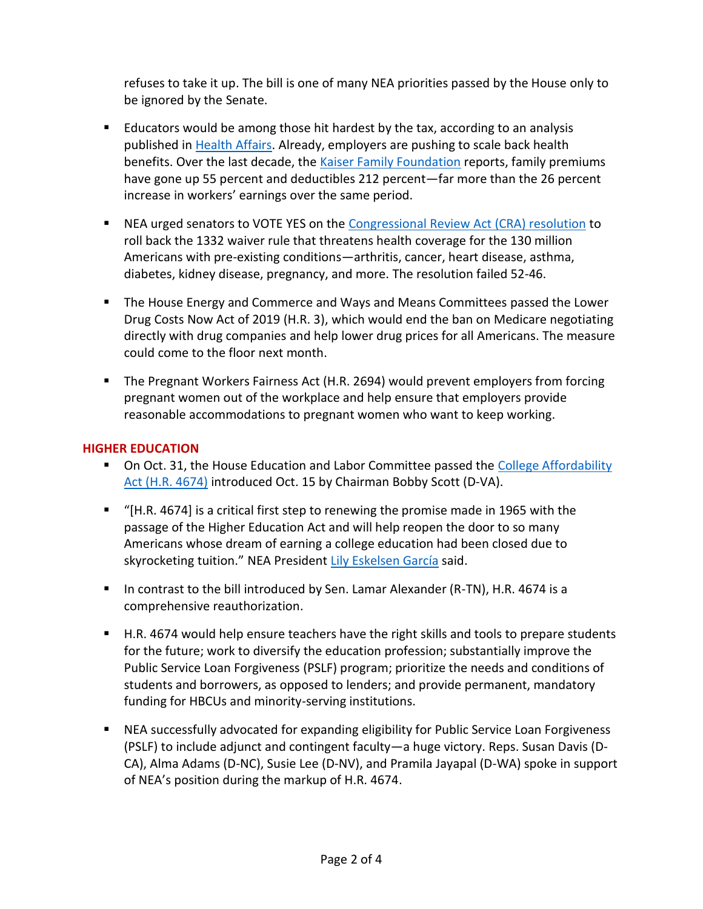refuses to take it up. The bill is one of many NEA priorities passed by the House only to be ignored by the Senate.

- Educators would be among those hit hardest by the tax, according to an analysis published in [Health Affairs.](https://www.healthaffairs.org/doi/abs/10.1377/hlthaff.2017.0926?journalCode=hlthaff) Already, employers are pushing to scale back health benefits. Over the last decade, the [Kaiser Family Foundation](http://files.kff.org/attachment/2018-EHBS-Release-Slides.pdf) reports, family premiums have gone up 55 percent and deductibles 212 percent—far more than the 26 percent increase in workers' earnings over the same period.
- NEA urged senators to VOTE YES on the [Congressional Review Act \(CRA\) resolution](https://educationvotes.nea.org/wp-content/uploads/2019/10/CRA-Pre-Existing-Conditions-1019.pdf) to roll back the 1332 waiver rule that threatens health coverage for the 130 million Americans with pre-existing conditions—arthritis, cancer, heart disease, asthma, diabetes, kidney disease, pregnancy, and more. The resolution failed 52-46.
- The House Energy and Commerce and Ways and Means Committees passed the Lower Drug Costs Now Act of 2019 (H.R. 3), which would end the ban on Medicare negotiating directly with drug companies and help lower drug prices for all Americans. The measure could come to the floor next month.
- The Pregnant Workers Fairness Act (H.R. 2694) would prevent employers from forcing pregnant women out of the workplace and help ensure that employers provide reasonable accommodations to pregnant women who want to keep working.

# **HIGHER EDUCATION**

- On Oct. 31, the House Education and Labor Committee passed the College Affordability [Act \(H.R. 4674\)](https://educationvotes.nea.org/wp-content/uploads/2019/10/House-Ed-Labor-College-Affordability-Act-Markup-102519.pdf) introduced Oct. 15 by Chairman Bobby Scott (D-VA).
- "[H.R. 4674] is a critical first step to renewing the promise made in 1965 with the passage of the Higher Education Act and will help reopen the door to so many Americans whose dream of earning a college education had been closed due to skyrocketing tuition." NEA President [Lily Eskelsen García](http://www.nea.org/home/75607.htm) said.
- In contrast to the bill introduced by Sen. Lamar Alexander (R-TN), H.R. 4674 is a comprehensive reauthorization.
- H.R. 4674 would help ensure teachers have the right skills and tools to prepare students for the future; work to diversify the education profession; substantially improve the Public Service Loan Forgiveness (PSLF) program; prioritize the needs and conditions of students and borrowers, as opposed to lenders; and provide permanent, mandatory funding for HBCUs and minority-serving institutions.
- NEA successfully advocated for expanding eligibility for Public Service Loan Forgiveness (PSLF) to include adjunct and contingent faculty—a huge victory. Reps. Susan Davis (D-CA), Alma Adams (D-NC), Susie Lee (D-NV), and Pramila Jayapal (D-WA) spoke in support of NEA's position during the markup of H.R. 4674.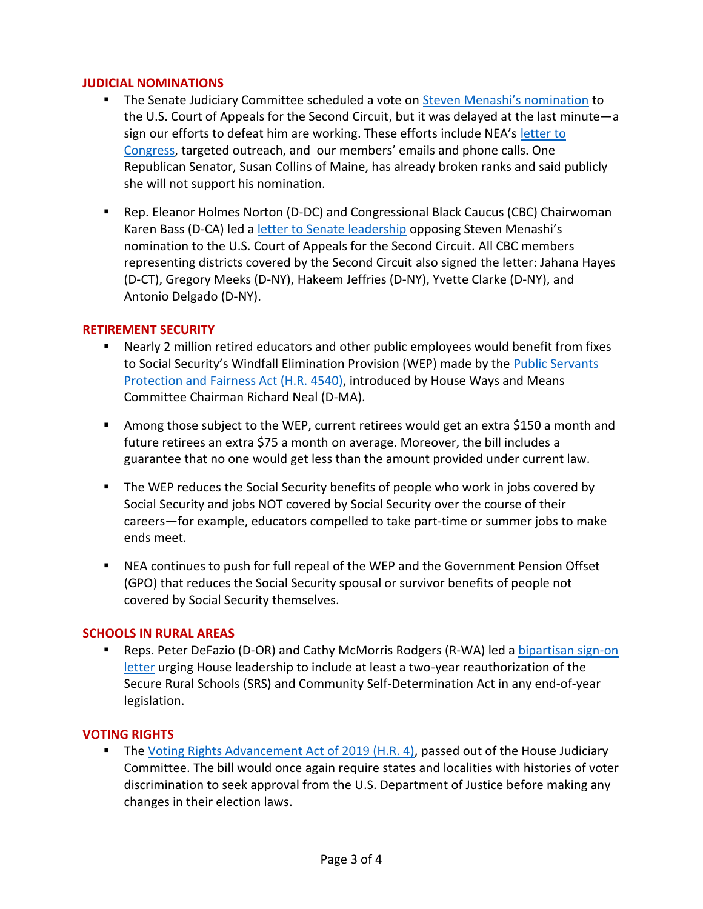## **JUDICIAL NOMINATIONS**

- **E** The Senate Judiciary Committee scheduled a vote on [Steven Menashi's nomination](https://educationvotes.nea.org/wp-content/uploads/2019/10/Judicial-nominee-Menashi-102219.pdf) to the U.S. Court of Appeals for the Second Circuit, but it was delayed at the last minute—a sign our efforts to defeat him are working. These efforts include NEA's [letter to](https://educationvotes.nea.org/wp-content/uploads/2019/10/Judicial-nominee-Menashi-102219.pdf)  [Congress,](https://educationvotes.nea.org/wp-content/uploads/2019/10/Judicial-nominee-Menashi-102219.pdf) targeted outreach, and our members' emails and phone calls. One Republican Senator, Susan Collins of Maine, has already broken ranks and said publicly she will not support his nomination.
- Rep. Eleanor Holmes Norton (D-DC) and Congressional Black Caucus (CBC) Chairwoman Karen Bass (D-CA) led a [letter to Senate leadership](https://norton.house.gov/media-center/press-releases/norton-cbc-oppose-menashi-s-nomination-to-second-circuit) opposing Steven Menashi's nomination to the U.S. Court of Appeals for the Second Circuit. All CBC members representing districts covered by the Second Circuit also signed the letter: Jahana Hayes (D-CT), Gregory Meeks (D-NY), Hakeem Jeffries (D-NY), Yvette Clarke (D-NY), and Antonio Delgado (D-NY).

## **RETIREMENT SECURITY**

- Nearly 2 million retired educators and other public employees would benefit from fixes to Social Security's Windfall Elimination Provision (WEP) made by the [Public Servants](https://educationvotes.nea.org/wp-content/uploads/2019/10/WEP-bill-ltr-to-Neal-100419.pdf)  [Protection and Fairness Act \(H.R. 4540\),](https://educationvotes.nea.org/wp-content/uploads/2019/10/WEP-bill-ltr-to-Neal-100419.pdf) introduced by House Ways and Means Committee Chairman Richard Neal (D-MA).
- Among those subject to the WEP, current retirees would get an extra \$150 a month and future retirees an extra \$75 a month on average. Moreover, the bill includes a guarantee that no one would get less than the amount provided under current law.
- The WEP reduces the Social Security benefits of people who work in jobs covered by Social Security and jobs NOT covered by Social Security over the course of their careers—for example, educators compelled to take part-time or summer jobs to make ends meet.
- NEA continues to push for full repeal of the WEP and the Government Pension Offset (GPO) that reduces the Social Security spousal or survivor benefits of people not covered by Social Security themselves.

#### **SCHOOLS IN RURAL AREAS**

**E** Reps. Peter DeFazio (D-OR) and Cathy McMorris Rodgers (R-WA) led a bipartisan sign-on [letter](http://image.email.nea.org/lib/fe8e1570706d037873/m/8/2300909a-954f-42d9-a57c-b702b03d3472.pdf) urging House leadership to include at least a two-year reauthorization of the Secure Rural Schools (SRS) and Community Self-Determination Act in any end-of-year legislation.

#### **VOTING RIGHTS**

■ The [Voting Rights Advancement Act of 2019 \(H.R. 4\),](https://educationvotes.nea.org/wp-content/uploads/2019/10/House-Judiciary-Voting-Rights-Adv.-Act-Markup-10.23.19.pdf) passed out of the House Judiciary Committee. The bill would once again require states and localities with histories of voter discrimination to seek approval from the U.S. Department of Justice before making any changes in their election laws.